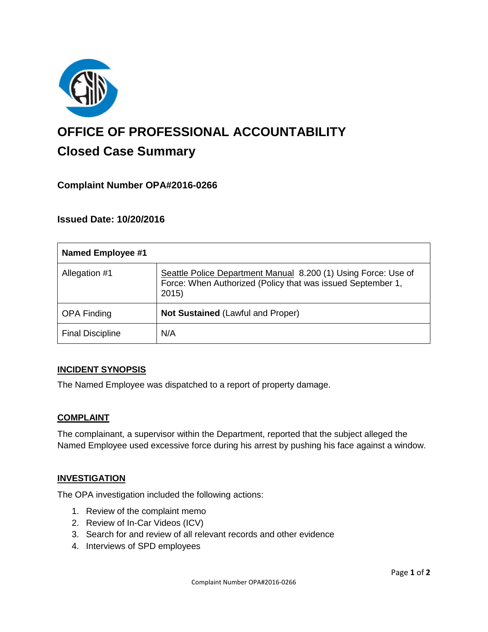

# **OFFICE OF PROFESSIONAL ACCOUNTABILITY Closed Case Summary**

## **Complaint Number OPA#2016-0266**

## **Issued Date: 10/20/2016**

| <b>Named Employee #1</b> |                                                                                                                                        |
|--------------------------|----------------------------------------------------------------------------------------------------------------------------------------|
| Allegation #1            | Seattle Police Department Manual 8.200 (1) Using Force: Use of<br>Force: When Authorized (Policy that was issued September 1,<br>2015) |
| <b>OPA Finding</b>       | <b>Not Sustained (Lawful and Proper)</b>                                                                                               |
| <b>Final Discipline</b>  | N/A                                                                                                                                    |

### **INCIDENT SYNOPSIS**

The Named Employee was dispatched to a report of property damage.

### **COMPLAINT**

The complainant, a supervisor within the Department, reported that the subject alleged the Named Employee used excessive force during his arrest by pushing his face against a window.

### **INVESTIGATION**

The OPA investigation included the following actions:

- 1. Review of the complaint memo
- 2. Review of In-Car Videos (ICV)
- 3. Search for and review of all relevant records and other evidence
- 4. Interviews of SPD employees